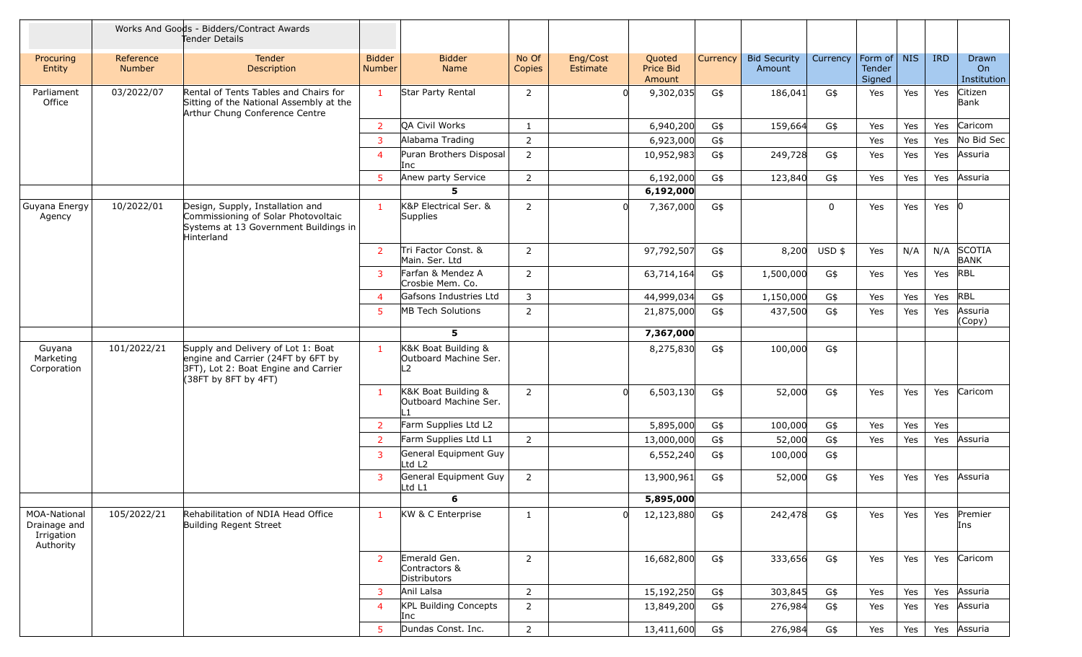|                                                                |                            | Works And Goods - Bidders/Contract Awards<br>Tender Details                                                                              |                         |                                                                |                 |                      |                               |          |                               |             |                             |            |            |                            |
|----------------------------------------------------------------|----------------------------|------------------------------------------------------------------------------------------------------------------------------------------|-------------------------|----------------------------------------------------------------|-----------------|----------------------|-------------------------------|----------|-------------------------------|-------------|-----------------------------|------------|------------|----------------------------|
| Procuring<br>Entity                                            | Reference<br><b>Number</b> | Tender<br>Description                                                                                                                    | <b>Bidder</b><br>Number | <b>Bidder</b><br>Name                                          | No Of<br>Copies | Eng/Cost<br>Estimate | Quoted<br>Price Bid<br>Amount | Currency | <b>Bid Security</b><br>Amount | Currency    | Form of<br>Tender<br>Signed | <b>NIS</b> | <b>IRD</b> | Drawn<br>On<br>Institution |
| Parliament<br>Office                                           | 03/2022/07                 | Rental of Tents Tables and Chairs for<br>Sitting of the National Assembly at the<br>Arthur Chung Conference Centre                       | $\mathbf{1}$            | Star Party Rental                                              | $\overline{2}$  |                      | 9,302,035                     | G\$      | 186,041                       | G\$         | Yes                         | Yes        | Yes        | Citizen<br>Bank            |
|                                                                |                            |                                                                                                                                          | $\overline{2}$          | QA Civil Works                                                 | $\mathbf{1}$    |                      | 6,940,200                     | G\$      | 159,664                       | G\$         | Yes                         | Yes        | Yes        | Caricom                    |
|                                                                |                            |                                                                                                                                          | 3                       | Alabama Trading                                                | $\overline{2}$  |                      | 6,923,000                     | G\$      |                               |             | Yes                         | Yes        | Yes        | No Bid Sec                 |
|                                                                |                            |                                                                                                                                          | $\overline{4}$          | Puran Brothers Disposal<br>Inc                                 | $\overline{2}$  |                      | 10,952,983                    | G\$      | 249,728                       | G\$         | Yes                         | Yes        | Yes        | Assuria                    |
|                                                                |                            |                                                                                                                                          | 5                       | Anew party Service                                             | $\overline{2}$  |                      | 6,192,000                     | G\$      | 123,840                       | G\$         | Yes                         | Yes        | Yes        | Assuria                    |
|                                                                |                            |                                                                                                                                          |                         |                                                                |                 |                      | 6,192,000                     |          |                               |             |                             |            |            |                            |
| Guyana Energy<br>Agency                                        | 10/2022/01                 | Design, Supply, Installation and<br>Commissioning of Solar Photovoltaic<br>Systems at 13 Government Buildings in<br>Hinterland           | $\mathbf{1}$            | K&P Electrical Ser. &<br><b>Supplies</b>                       | $\overline{2}$  |                      | 7,367,000                     | G\$      |                               | $\mathbf 0$ | Yes                         | Yes        | Yes $ 0 $  |                            |
|                                                                |                            |                                                                                                                                          | $\overline{2}$          | Tri Factor Const. &<br>Main, Ser. Ltd                          | $\overline{2}$  |                      | 97,792,507                    | G\$      | 8,200                         | USD \$      | Yes                         | N/A        | N/A        | SCOTIA<br><b>BANK</b>      |
|                                                                |                            |                                                                                                                                          | 3                       | Farfan & Mendez A<br>Crosbie Mem. Co.                          | $\overline{2}$  |                      | 63,714,164                    | G\$      | 1,500,000                     | G\$         | Yes                         | Yes        | Yes        | RBL                        |
|                                                                |                            |                                                                                                                                          | $\overline{4}$          | Gafsons Industries Ltd                                         | 3               |                      | 44,999,034                    | G\$      | 1,150,000                     | G\$         | Yes                         | Yes        | Yes        | RBL                        |
|                                                                |                            |                                                                                                                                          | 5                       | MB Tech Solutions                                              | $\overline{2}$  |                      | 21,875,000                    | G\$      | 437,500                       | G\$         | Yes                         | Yes        | Yes        | Assuria<br>(Copy)          |
|                                                                |                            |                                                                                                                                          |                         | 5                                                              |                 |                      | 7,367,000                     |          |                               |             |                             |            |            |                            |
| Guyana<br>Marketing<br>Corporation                             | 101/2022/21                | Supply and Delivery of Lot 1: Boat<br>engine and Carrier (24FT by 6FT by<br>3FT), Lot 2: Boat Engine and Carrier<br>(38FT by 8FT by 4FT) | $\mathbf{1}$            | K&K Boat Building &<br>Outboard Machine Ser.<br>$\overline{z}$ |                 |                      | 8,275,830                     | G\$      | 100,000                       | G\$         |                             |            |            |                            |
|                                                                |                            |                                                                                                                                          | 1.                      | K&K Boat Building &<br>Outboard Machine Ser.                   | $\overline{2}$  |                      | 6,503,130                     | G\$      | 52,000                        | G\$         | Yes                         | Yes        | Yes        | Caricom                    |
|                                                                |                            |                                                                                                                                          | $\overline{2}$          | Farm Supplies Ltd L2                                           |                 |                      | 5,895,000                     | G\$      | 100,000                       | G\$         | Yes                         | Yes        | Yes        |                            |
|                                                                |                            |                                                                                                                                          | $\overline{2}$          | Farm Supplies Ltd L1                                           | $\overline{2}$  |                      | 13,000,000                    | G\$      | 52,000                        | G\$         | Yes                         | Yes        | Yes        | Assuria                    |
|                                                                |                            |                                                                                                                                          | 3                       | General Equipment Guy<br>Ltd L2                                |                 |                      | 6,552,240                     | G\$      | 100,000                       | G\$         |                             |            |            |                            |
|                                                                |                            |                                                                                                                                          | 3                       | General Equipment Guy<br>Ltd L1                                | $\overline{2}$  |                      | 13,900,961                    | G\$      | 52,000                        | G\$         | Yes                         | Yes        | Yes        | Assuria                    |
|                                                                |                            |                                                                                                                                          |                         | 6                                                              |                 |                      | 5,895,000                     |          |                               |             |                             |            |            |                            |
| <b>MOA-National</b><br>Drainage and<br>Irrigation<br>Authority | 105/2022/21                | Rehabilitation of NDIA Head Office<br>Building Regent Street                                                                             | $\mathbf{1}$            | KW & C Enterprise                                              | $\mathbf{1}$    |                      | 12,123,880                    | G\$      | 242,478                       | G\$         | Yes                         | Yes        | Yes        | Premier<br>Ins             |
|                                                                |                            |                                                                                                                                          | 2                       | Emerald Gen.<br>Contractors &<br>Distributors                  | $\overline{2}$  |                      | 16,682,800                    | G\$      | 333,656                       | G\$         | Yes                         | Yes        | Yes        | Caricom                    |
|                                                                |                            |                                                                                                                                          | 3                       | Anil Lalsa                                                     | $\overline{2}$  |                      | 15,192,250                    | G\$      | 303,845                       | G\$         | Yes                         | Yes        | Yes        | Assuria                    |
|                                                                |                            |                                                                                                                                          | 4                       | <b>KPL Building Concepts</b><br>Inc                            | $\overline{2}$  |                      | 13,849,200                    | G\$      | 276,984                       | G\$         | Yes                         | Yes        | Yes        | Assuria                    |
|                                                                |                            |                                                                                                                                          | 5.                      | Dundas Const. Inc.                                             | $\overline{2}$  |                      | 13,411,600                    | G\$      | 276,984                       | G\$         | Yes                         | Yes        |            | Yes Assuria                |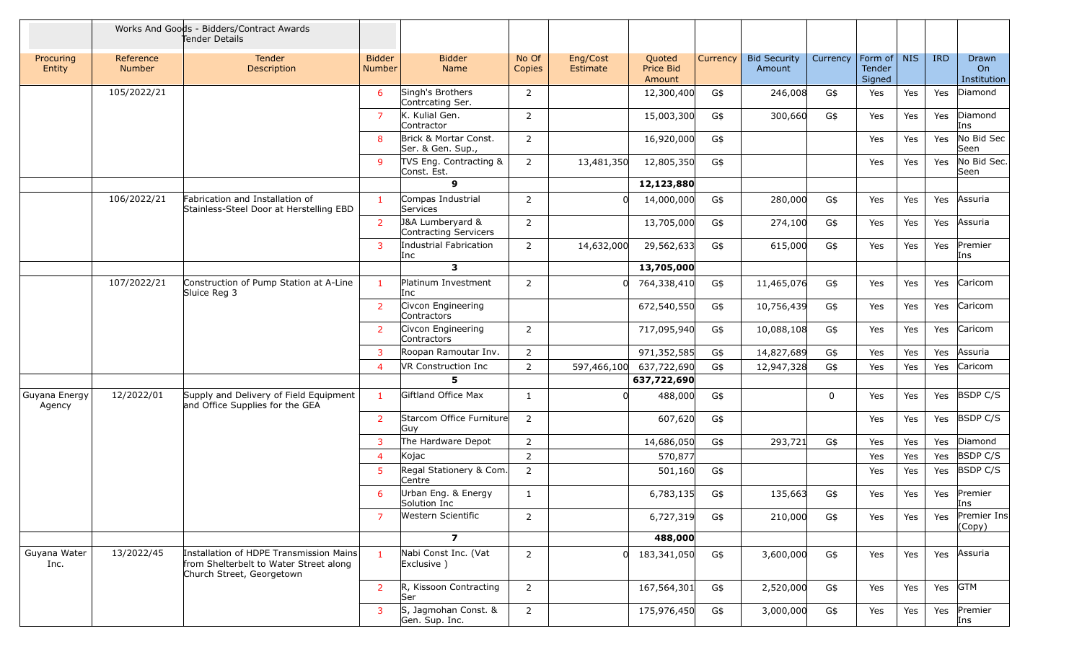|                         |                            | Works And Goods - Bidders/Contract Awards<br>Tender Details                                                    |                                |                                            |                 |                      |                               |          |                               |             |                                    |            |            |                            |
|-------------------------|----------------------------|----------------------------------------------------------------------------------------------------------------|--------------------------------|--------------------------------------------|-----------------|----------------------|-------------------------------|----------|-------------------------------|-------------|------------------------------------|------------|------------|----------------------------|
| Procuring<br>Entity     | Reference<br><b>Number</b> | <b>Tender</b><br>Description                                                                                   | <b>Bidder</b><br><b>Number</b> | <b>Bidder</b><br><b>Name</b>               | No Of<br>Copies | Eng/Cost<br>Estimate | Quoted<br>Price Bid<br>Amount | Currency | <b>Bid Security</b><br>Amount | Currency    | Form of<br><b>Tender</b><br>Signed | <b>NIS</b> | <b>IRD</b> | Drawn<br>On<br>Institution |
|                         | 105/2022/21                |                                                                                                                | 6                              | Singh's Brothers<br>Contrcating Ser.       | $\overline{2}$  |                      | 12,300,400                    | G\$      | 246,008                       | G\$         | Yes                                | Yes        | Yes        | Diamond                    |
|                         |                            |                                                                                                                | $\overline{7}$                 | K. Kulial Gen.<br>Contractor               | $\overline{2}$  |                      | 15,003,300                    | G\$      | 300,660                       | G\$         | Yes                                | Yes        | Yes        | Diamond<br>Ins             |
|                         |                            |                                                                                                                | 8                              | Brick & Mortar Const.<br>Ser. & Gen. Sup., | $\overline{2}$  |                      | 16,920,000                    | G\$      |                               |             | Yes                                | Yes        | Yes        | No Bid Sec<br>Seen         |
|                         |                            |                                                                                                                | 9                              | TVS Eng. Contracting &<br>Const. Est.      | $\overline{2}$  | 13,481,350           | 12,805,350                    | G\$      |                               |             | Yes                                | Yes        | Yes        | No Bid Sec.<br>Seen        |
|                         |                            |                                                                                                                |                                | $\mathbf{9}$                               |                 |                      | 12,123,880                    |          |                               |             |                                    |            |            |                            |
|                         | 106/2022/21                | Fabrication and Installation of<br>Stainless-Steel Door at Herstelling EBD                                     | -1                             | Compas Industrial<br>Services              | $\overline{2}$  |                      | 14,000,000                    | G\$      | 280,000                       | G\$         | Yes                                | Yes        | Yes        | Assuria                    |
|                         |                            |                                                                                                                | $\overline{2}$                 | J&A Lumberyard &<br>Contracting Servicers  | $\overline{2}$  |                      | 13,705,000                    | G\$      | 274,100                       | G\$         | Yes                                | Yes        | Yes        | Assuria                    |
|                         |                            |                                                                                                                | 3                              | Industrial Fabrication<br>Inc              | $\overline{2}$  | 14,632,000           | 29,562,633                    | G\$      | 615,000                       | G\$         | Yes                                | Yes        | Yes        | Premier<br>Ins             |
|                         |                            |                                                                                                                |                                | $\overline{\mathbf{3}}$                    |                 |                      | 13,705,000                    |          |                               |             |                                    |            |            |                            |
|                         | 107/2022/21                | Construction of Pump Station at A-Line<br>Sluice Reg 3                                                         | -1                             | Platinum Investment<br>Inc                 | $\overline{2}$  |                      | 764,338,410                   | G\$      | 11,465,076                    | G\$         | Yes                                | Yes        | Yes        | Caricom                    |
|                         |                            |                                                                                                                | $\overline{2}$                 | Civcon Engineering<br>Contractors          |                 |                      | 672,540,550                   | G\$      | 10,756,439                    | G\$         | Yes                                | Yes        | Yes        | Caricom                    |
|                         |                            |                                                                                                                | $\overline{2}$                 | Civcon Engineering<br>Contractors          | $\overline{2}$  |                      | 717,095,940                   | G\$      | 10,088,108                    | G\$         | Yes                                | Yes        | Yes        | Caricom                    |
|                         |                            |                                                                                                                | 3                              | Roopan Ramoutar Inv.                       | $\overline{2}$  |                      | 971,352,585                   | G\$      | 14,827,689                    | G\$         | Yes                                | Yes        | Yes        | Assuria                    |
|                         |                            |                                                                                                                | $\overline{4}$                 | VR Construction Inc                        | $\overline{2}$  | 597,466,100          | 637,722,690                   | G\$      | 12,947,328                    | G\$         | Yes                                | Yes        | Yes        | Caricom                    |
|                         |                            |                                                                                                                |                                | 5                                          |                 |                      | 637,722,690                   |          |                               |             |                                    |            |            |                            |
| Guyana Energy<br>Agency | 12/2022/01                 | Supply and Delivery of Field Equipment<br>and Office Supplies for the GEA                                      | $\mathbf{1}$                   | Giftland Office Max                        | 1               | <sup>0</sup>         | 488,000                       | G\$      |                               | $\mathbf 0$ | Yes                                | Yes        |            | Yes BSDP C/S               |
|                         |                            |                                                                                                                | $\overline{2}$                 | Starcom Office Furniture<br>Guy            | $\overline{2}$  |                      | 607,620                       | G\$      |                               |             | Yes                                | Yes        | Yes        | <b>BSDP C/S</b>            |
|                         |                            |                                                                                                                | $\overline{3}$                 | The Hardware Depot                         | $\overline{2}$  |                      | 14,686,050                    | G\$      | 293,721                       | G\$         | Yes                                | Yes        | Yes        | Diamond                    |
|                         |                            |                                                                                                                | $\overline{4}$                 | Kojac                                      | $\overline{2}$  |                      | 570,877                       |          |                               |             | Yes                                | Yes        | Yes        | <b>BSDP C/S</b>            |
|                         |                            |                                                                                                                | 5                              | Regal Stationery & Com.<br>Centre          | $\overline{2}$  |                      | 501,160                       | G\$      |                               |             | Yes                                | Yes        | Yes        | <b>BSDP C/S</b>            |
|                         |                            |                                                                                                                | 6                              | Urban Eng. & Energy<br>Solution Inc        | $\mathbf{1}$    |                      | 6,783,135                     | G\$      | 135,663                       | G\$         | Yes                                | Yes        | Yes        | Premier<br>Ins             |
|                         |                            |                                                                                                                | $\overline{7}$                 | Western Scientific                         | $\overline{2}$  |                      | 6,727,319                     | G\$      | 210,000                       | G\$         | Yes                                | Yes        | Yes        | Premier Ins<br>(Copy)      |
|                         |                            |                                                                                                                |                                | $\overline{ }$                             |                 |                      | 488,000                       |          |                               |             |                                    |            |            |                            |
| Guyana Water<br>Inc.    | 13/2022/45                 | Installation of HDPE Transmission Mains<br>from Shelterbelt to Water Street along<br>Church Street, Georgetown | $\overline{1}$                 | Nabi Const Inc. (Vat<br>Exclusive)         | $\overline{2}$  |                      | 183,341,050                   | G\$      | 3,600,000                     | G\$         | Yes                                | Yes        | Yes        | Assuria                    |
|                         |                            |                                                                                                                | 2                              | R, Kissoon Contracting<br>Ser              | $\overline{2}$  |                      | 167,564,301                   | G\$      | 2,520,000                     | G\$         | Yes                                | Yes        | Yes        | <b>GTM</b>                 |
|                         |                            |                                                                                                                | 3                              | S, Jagmohan Const. &<br>Gen. Sup. Inc.     | $\overline{2}$  |                      | 175,976,450                   | G\$      | 3,000,000                     | G\$         | Yes                                | Yes        | Yes        | Premier<br>Ins             |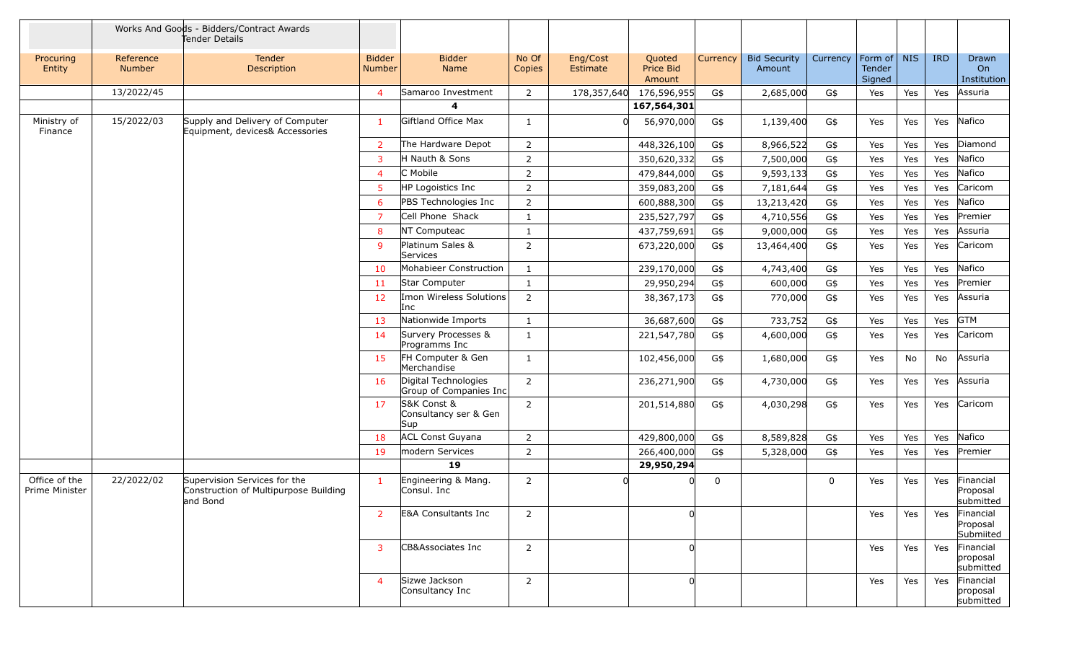|                                 |                            | Works And Goods - Bidders/Contract Awards<br>Tender Details                       |                                |                                                |                 |                      |                               |          |                               |             |                             |            |            |                                    |
|---------------------------------|----------------------------|-----------------------------------------------------------------------------------|--------------------------------|------------------------------------------------|-----------------|----------------------|-------------------------------|----------|-------------------------------|-------------|-----------------------------|------------|------------|------------------------------------|
| Procuring<br>Entity             | Reference<br><b>Number</b> | Tender<br>Description                                                             | <b>Bidder</b><br><b>Number</b> | <b>Bidder</b><br>Name                          | No Of<br>Copies | Eng/Cost<br>Estimate | Quoted<br>Price Bid<br>Amount | Currency | <b>Bid Security</b><br>Amount | Currency    | Form of<br>Tender<br>Signed | <b>NIS</b> | <b>IRD</b> | Drawn<br>On<br>Institution         |
|                                 | 13/2022/45                 |                                                                                   | $\overline{4}$                 | Samaroo Investment                             | $\overline{2}$  | 178,357,640          | 176,596,955                   | G\$      | 2,685,000                     | G\$         | Yes                         | Yes        | Yes        | Assuria                            |
|                                 |                            |                                                                                   |                                | 4                                              |                 |                      | 167,564,301                   |          |                               |             |                             |            |            |                                    |
| Ministry of<br>Finance          | 15/2022/03                 | Supply and Delivery of Computer<br>Equipment, devices& Accessories                | $\mathbf{1}$                   | Giftland Office Max                            | $\mathbf{1}$    |                      | 56,970,000                    | G\$      | 1,139,400                     | G\$         | Yes                         | Yes        | Yes        | Nafico                             |
|                                 |                            |                                                                                   | $\overline{2}$                 | The Hardware Depot                             | $\overline{2}$  |                      | 448,326,100                   | G\$      | 8,966,522                     | G\$         | Yes                         | Yes        | Yes        | Diamond                            |
|                                 |                            |                                                                                   | $\overline{3}$                 | H Nauth & Sons                                 | $\overline{2}$  |                      | 350,620,332                   | G\$      | 7,500,000                     | G\$         | Yes                         | Yes        | Yes        | Nafico                             |
|                                 |                            |                                                                                   | $\overline{4}$                 | C Mobile                                       | $\overline{2}$  |                      | 479,844,000                   | G\$      | 9,593,133                     | G\$         | Yes                         | Yes        | Yes        | Nafico                             |
|                                 |                            |                                                                                   | 5 <sup>5</sup>                 | HP Logoistics Inc                              | $\overline{2}$  |                      | 359,083,200                   | G\$      | 7,181,644                     | G\$         | Yes                         | Yes        | Yes        | Caricom                            |
|                                 |                            |                                                                                   | 6                              | PBS Technologies Inc                           | $\overline{2}$  |                      | 600,888,300                   | G\$      | 13,213,420                    | G\$         | Yes                         | Yes        | Yes        | Nafico                             |
|                                 |                            |                                                                                   | $\overline{7}$                 | Cell Phone Shack                               | $\mathbf{1}$    |                      | 235,527,797                   | G\$      | 4,710,556                     | G\$         | Yes                         | Yes        | Yes        | Premier                            |
|                                 |                            |                                                                                   | 8                              | NT Computeac                                   | $\mathbf{1}$    |                      | 437,759,691                   | G\$      | 9,000,000                     | G\$         | Yes                         | Yes        | Yes        | Assuria                            |
|                                 |                            |                                                                                   | 9                              | Platinum Sales &<br>Services                   | $\overline{2}$  |                      | 673,220,000                   | G\$      | 13,464,400                    | G\$         | Yes                         | Yes        | Yes        | Caricom                            |
|                                 |                            |                                                                                   | 10                             | Mohabieer Construction                         | 1               |                      | 239,170,000                   | G\$      | 4,743,400                     | G\$         | Yes                         | Yes        | Yes        | Nafico                             |
|                                 |                            |                                                                                   | 11                             | Star Computer                                  | $\mathbf{1}$    |                      | 29,950,294                    | G\$      | 600,000                       | G\$         | Yes                         | Yes        | Yes        | Premier                            |
|                                 |                            |                                                                                   | 12                             | Imon Wireless Solutions<br>Inc                 | $\overline{2}$  |                      | 38, 367, 173                  | G\$      | 770,000                       | G\$         | Yes                         | Yes        | Yes        | Assuria                            |
|                                 |                            |                                                                                   | 13                             | Nationwide Imports                             | $\mathbf{1}$    |                      | 36,687,600                    | G\$      | 733,752                       | G\$         | Yes                         | Yes        | Yes        | <b>GTM</b>                         |
|                                 |                            |                                                                                   | 14                             | Survery Processes &<br>Programms Inc           | $\mathbf{1}$    |                      | 221,547,780                   | G\$      | 4,600,000                     | G\$         | Yes                         | Yes        | Yes        | Caricom                            |
|                                 |                            |                                                                                   | 15                             | FH Computer & Gen<br>Merchandise               | $\mathbf{1}$    |                      | 102,456,000                   | G\$      | 1,680,000                     | G\$         | Yes                         | No         | No         | Assuria                            |
|                                 |                            |                                                                                   | 16                             | Digital Technologies<br>Group of Companies Inc | $\overline{2}$  |                      | 236,271,900                   | G\$      | 4,730,000                     | G\$         | Yes                         | Yes        | Yes        | Assuria                            |
|                                 |                            |                                                                                   | 17                             | S&K Const &<br>Consultancy ser & Gen<br>Sup    | $\overline{2}$  |                      | 201,514,880                   | G\$      | 4,030,298                     | G\$         | Yes                         | Yes        | Yes        | Caricom                            |
|                                 |                            |                                                                                   | 18                             | <b>ACL Const Guyana</b>                        | $\overline{2}$  |                      | 429,800,000                   | G\$      | 8,589,828                     | G\$         | Yes                         | Yes        | Yes        | Nafico                             |
|                                 |                            |                                                                                   | 19                             | modern Services                                | $\overline{2}$  |                      | 266,400,000                   | G\$      | 5,328,000                     | G\$         | Yes                         | Yes        | Yes        | Premier                            |
|                                 |                            |                                                                                   |                                | 19                                             |                 |                      | 29,950,294                    |          |                               |             |                             |            |            |                                    |
| Office of the<br>Prime Minister | 22/2022/02                 | Supervision Services for the<br>Construction of Multipurpose Building<br>and Bond | $\overline{1}$                 | Engineering & Mang.<br>Consul. Inc             | $\overline{2}$  |                      |                               | 0        |                               | $\mathbf 0$ | Yes                         | Yes        | Yes        | Financial<br>Proposal<br>submitted |
|                                 |                            |                                                                                   | 2                              | <b>E&amp;A Consultants Inc</b>                 | $\overline{2}$  |                      |                               |          |                               |             | Yes                         | Yes        | Yes        | Financial<br>Proposal<br>Submiited |
|                                 |                            |                                                                                   | $\mathbf{3}$                   | CB&Associates Inc                              | $\overline{2}$  |                      |                               |          |                               |             | Yes                         | Yes        | Yes        | Financial<br>proposal<br>submitted |
|                                 |                            |                                                                                   | $\overline{4}$                 | Sizwe Jackson<br>Consultancy Inc               | $\overline{2}$  |                      |                               |          |                               |             | Yes                         | Yes        | Yes        | Financial<br>proposal<br>submitted |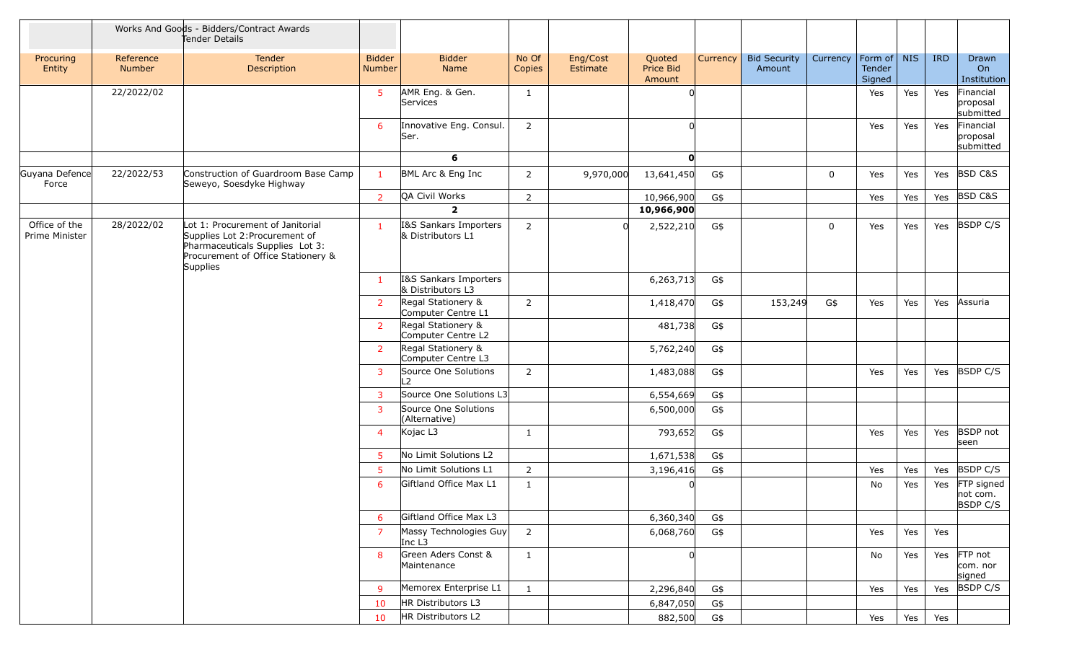|                                 |                     | Works And Goods - Bidders/Contract Awards<br>Tender Details                                                                                             |                                |                                              |                 |                      |                               |          |                               |             |                                 |     |            |                                           |
|---------------------------------|---------------------|---------------------------------------------------------------------------------------------------------------------------------------------------------|--------------------------------|----------------------------------------------|-----------------|----------------------|-------------------------------|----------|-------------------------------|-------------|---------------------------------|-----|------------|-------------------------------------------|
| Procuring<br>Entity             | Reference<br>Number | Tender<br>Description                                                                                                                                   | <b>Bidder</b><br><b>Number</b> | <b>Bidder</b><br>Name                        | No Of<br>Copies | Eng/Cost<br>Estimate | Quoted<br>Price Bid<br>Amount | Currency | <b>Bid Security</b><br>Amount | Currency    | Form of NIS<br>Tender<br>Signed |     | <b>IRD</b> | Drawn<br>On<br>Institution                |
|                                 | 22/2022/02          |                                                                                                                                                         | 5 <sup>5</sup>                 | AMR Eng. & Gen.<br>Services                  | $\mathbf{1}$    |                      |                               |          |                               |             | Yes                             | Yes | Yes        | Financial<br>proposal<br>submitted        |
|                                 |                     |                                                                                                                                                         | 6                              | Innovative Eng. Consul.<br>Ser.              | $\overline{2}$  |                      |                               |          |                               |             | Yes                             | Yes | Yes        | Financial<br>proposal<br>submitted        |
|                                 |                     |                                                                                                                                                         |                                | 6                                            |                 |                      | 0                             |          |                               |             |                                 |     |            |                                           |
| Guyana Defence<br>Force         | 22/2022/53          | Construction of Guardroom Base Camp<br>Seweyo, Soesdyke Highway                                                                                         | $\mathbf{1}$                   | BML Arc & Eng Inc                            | $\overline{2}$  | 9,970,000            | 13,641,450                    | G\$      |                               | $\mathbf 0$ | Yes                             | Yes | Yes        | <b>BSD C&amp;S</b>                        |
|                                 |                     |                                                                                                                                                         | $\overline{2}$                 | QA Civil Works                               | $\overline{2}$  |                      | 10,966,900                    | G\$      |                               |             | Yes                             | Yes | Yes        | <b>BSD C&amp;S</b>                        |
|                                 |                     |                                                                                                                                                         |                                | $\overline{2}$                               |                 |                      | 10,966,900                    |          |                               |             |                                 |     |            |                                           |
| Office of the<br>Prime Minister | 28/2022/02          | Lot 1: Procurement of Janitorial<br>Supplies Lot 2: Procurement of<br>Pharmaceuticals Supplies Lot 3:<br>Procurement of Office Stationery &<br>Supplies | $\mathbf{1}$                   | I&S Sankars Importers<br>& Distributors L1   | $\overline{2}$  |                      | 2,522,210                     | G\$      |                               | $\mathbf 0$ | Yes                             | Yes | Yes        | <b>BSDP C/S</b>                           |
|                                 |                     |                                                                                                                                                         | $\mathbf{1}$                   | I&S Sankars Importers<br>& Distributors L3   |                 |                      | 6,263,713                     | G\$      |                               |             |                                 |     |            |                                           |
|                                 |                     |                                                                                                                                                         | $\overline{2}$                 | Regal Stationery &<br>Computer Centre L1     | $\overline{2}$  |                      | 1,418,470                     | G\$      | 153,249                       | G\$         | Yes                             | Yes | Yes        | Assuria                                   |
|                                 |                     |                                                                                                                                                         | $\overline{2}$                 | Regal Stationery &<br>Computer Centre L2     |                 |                      | 481,738                       | G\$      |                               |             |                                 |     |            |                                           |
|                                 |                     |                                                                                                                                                         | $\overline{2}$                 | Regal Stationery &<br>Computer Centre L3     |                 |                      | 5,762,240                     | G\$      |                               |             |                                 |     |            |                                           |
|                                 |                     |                                                                                                                                                         | 3                              | Source One Solutions<br>L2                   | $\overline{2}$  |                      | 1,483,088                     | G\$      |                               |             | Yes                             | Yes | Yes        | BSDP C/S                                  |
|                                 |                     |                                                                                                                                                         | $\mathbf{3}$                   | Source One Solutions L3                      |                 |                      | 6,554,669                     | G\$      |                               |             |                                 |     |            |                                           |
|                                 |                     |                                                                                                                                                         | $\overline{3}$                 | Source One Solutions<br>(Alternative)        |                 |                      | 6,500,000                     | G\$      |                               |             |                                 |     |            |                                           |
|                                 |                     |                                                                                                                                                         | $\overline{4}$                 | Kojac L3                                     | $\mathbf{1}$    |                      | 793,652                       | G\$      |                               |             | Yes                             | Yes | Yes        | <b>BSDP</b> not<br>seen                   |
|                                 |                     |                                                                                                                                                         | -5                             | No Limit Solutions L2                        |                 |                      | 1,671,538                     | G\$      |                               |             |                                 |     |            |                                           |
|                                 |                     |                                                                                                                                                         | $5\phantom{.0}$                | No Limit Solutions L1                        | $\overline{2}$  |                      | 3,196,416                     | G\$      |                               |             | Yes                             | Yes | Yes        | <b>BSDP C/S</b>                           |
|                                 |                     |                                                                                                                                                         | 6                              | Giftland Office Max L1                       | $\mathbf{1}$    |                      |                               |          |                               |             | No                              | Yes | Yes        | FTP signed<br>not com.<br><b>BSDP C/S</b> |
|                                 |                     |                                                                                                                                                         | 6                              | Giftland Office Max L3                       |                 |                      | 6,360,340                     | G\$      |                               |             |                                 |     |            |                                           |
|                                 |                     |                                                                                                                                                         | $\overline{7}$                 | Massy Technologies Guy<br>Inc L <sub>3</sub> | $\overline{2}$  |                      | 6,068,760                     | G\$      |                               |             | Yes                             | Yes | Yes        |                                           |
|                                 |                     |                                                                                                                                                         | 8                              | Green Aders Const &<br>Maintenance           | $\mathbf{1}$    |                      |                               |          |                               |             | No                              | Yes | Yes        | FTP not<br>com. nor<br>signed             |
|                                 |                     |                                                                                                                                                         | 9                              | Memorex Enterprise L1                        | $\mathbf{1}$    |                      | 2,296,840                     | G\$      |                               |             | Yes                             | Yes |            | Yes BSDP C/S                              |
|                                 |                     |                                                                                                                                                         | 10                             | HR Distributors L3                           |                 |                      | 6,847,050                     | G\$      |                               |             |                                 |     |            |                                           |
|                                 |                     |                                                                                                                                                         | 10                             | HR Distributors L2                           |                 |                      | 882,500                       | G\$      |                               |             | Yes                             | Yes | Yes        |                                           |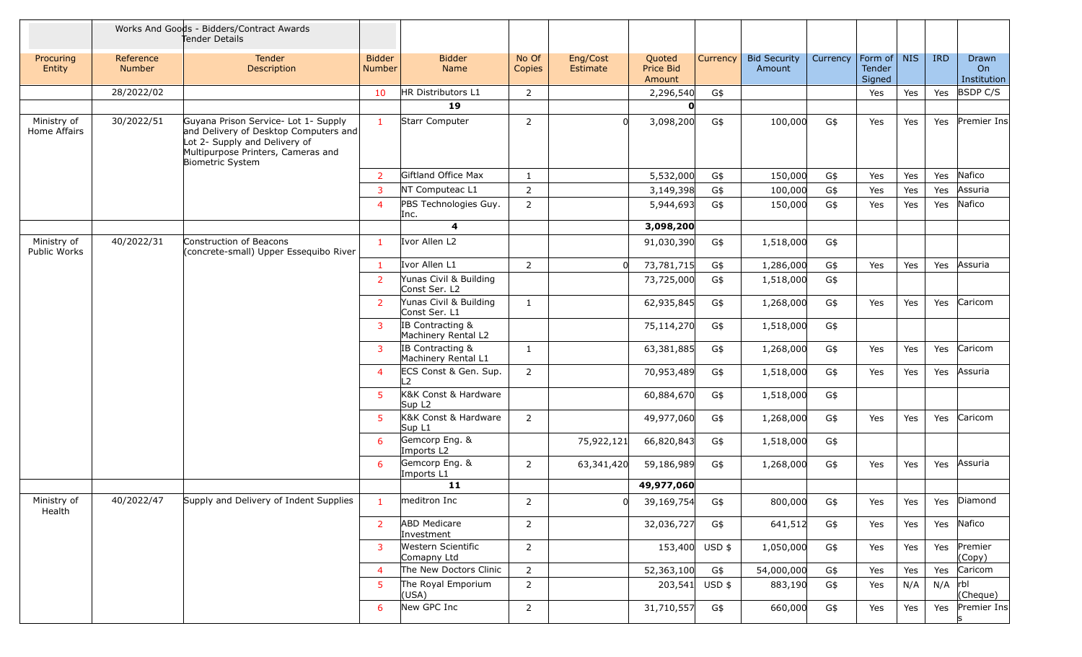|                                    |                            | Works And Goods - Bidders/Contract Awards<br>Tender Details                                                                                                              |                                |                                            |                 |                      |                               |                |                               |          |                                         |     |            |                            |
|------------------------------------|----------------------------|--------------------------------------------------------------------------------------------------------------------------------------------------------------------------|--------------------------------|--------------------------------------------|-----------------|----------------------|-------------------------------|----------------|-------------------------------|----------|-----------------------------------------|-----|------------|----------------------------|
| Procuring<br>Entity                | Reference<br><b>Number</b> | Tender<br>Description                                                                                                                                                    | <b>Bidder</b><br><b>Number</b> | <b>Bidder</b><br>Name                      | No Of<br>Copies | Eng/Cost<br>Estimate | Quoted<br>Price Bid<br>Amount | Currency       | <b>Bid Security</b><br>Amount | Currency | Form of $\vert$ NIS<br>Tender<br>Signed |     | <b>IRD</b> | Drawn<br>On<br>Institution |
|                                    | 28/2022/02                 |                                                                                                                                                                          | 10                             | HR Distributors L1                         | $\overline{2}$  |                      | 2,296,540                     | G\$            |                               |          | Yes                                     | Yes | Yes        | <b>BSDP C/S</b>            |
|                                    |                            |                                                                                                                                                                          |                                | 19                                         |                 |                      |                               |                |                               |          |                                         |     |            |                            |
| Ministry of<br>Home Affairs        | 30/2022/51                 | Guyana Prison Service- Lot 1- Supply<br>and Delivery of Desktop Computers and<br>Lot 2- Supply and Delivery of<br>Multipurpose Printers, Cameras and<br>Biometric System | $\mathbf{1}$                   | Starr Computer                             | $\overline{2}$  |                      | 3,098,200                     | G\$            | 100,000                       | G\$      | Yes                                     | Yes | Yes        | Premier Ins                |
|                                    |                            |                                                                                                                                                                          | $\overline{2}$                 | Giftland Office Max                        | 1               |                      | 5,532,000                     | G\$            | 150,000                       | G\$      | Yes                                     | Yes | Yes        | Nafico                     |
|                                    |                            |                                                                                                                                                                          | $\mathbf{3}$                   | NT Computeac L1                            | $\overline{2}$  |                      | 3,149,398                     | G\$            | 100,000                       | G\$      | Yes                                     | Yes | Yes        | Assuria                    |
|                                    |                            |                                                                                                                                                                          | $\overline{4}$                 | PBS Technologies Guy.<br>Inc.              | $\overline{2}$  |                      | 5,944,693                     | G\$            | 150,000                       | G\$      | Yes                                     | Yes | Yes        | Nafico                     |
|                                    |                            |                                                                                                                                                                          |                                | $\overline{\mathbf{4}}$                    |                 |                      | 3,098,200                     |                |                               |          |                                         |     |            |                            |
| Ministry of<br><b>Public Works</b> | 40/2022/31                 | Construction of Beacons<br>(concrete-small) Upper Essequibo River                                                                                                        | $\mathbf{1}$                   | Ivor Allen L2                              |                 |                      | 91,030,390                    | G\$            | 1,518,000                     | G\$      |                                         |     |            |                            |
|                                    |                            |                                                                                                                                                                          | $\mathbf{1}$                   | Ivor Allen L1                              | $\overline{2}$  | $\Omega$             | 73,781,715                    | G\$            | 1,286,000                     | G\$      | Yes                                     | Yes | Yes        | Assuria                    |
|                                    |                            |                                                                                                                                                                          | $\overline{2}$                 | Yunas Civil & Building<br>Const Ser. L2    |                 |                      | 73,725,000                    | G\$            | 1,518,000                     | G\$      |                                         |     |            |                            |
|                                    |                            |                                                                                                                                                                          | 2                              | Yunas Civil & Building<br>Const Ser. L1    | $\mathbf{1}$    |                      | 62,935,845                    | G\$            | 1,268,000                     | G\$      | Yes                                     | Yes | Yes        | Caricom                    |
|                                    |                            |                                                                                                                                                                          | $\overline{3}$                 | IB Contracting &<br>Machinery Rental L2    |                 |                      | 75,114,270                    | G\$            | 1,518,000                     | G\$      |                                         |     |            |                            |
|                                    |                            |                                                                                                                                                                          | $\overline{3}$                 | IB Contracting &<br>Machinery Rental L1    | $\mathbf{1}$    |                      | 63,381,885                    | G\$            | 1,268,000                     | G\$      | Yes                                     | Yes | Yes        | Caricom                    |
|                                    |                            |                                                                                                                                                                          | $\overline{4}$                 | ECS Const & Gen. Sup.<br>L2                | $\overline{2}$  |                      | 70,953,489                    | G\$            | 1,518,000                     | G\$      | Yes                                     | Yes | Yes        | Assuria                    |
|                                    |                            |                                                                                                                                                                          | -5                             | K&K Const & Hardware<br>Sup L <sub>2</sub> |                 |                      | 60,884,670                    | G\$            | 1,518,000                     | G\$      |                                         |     |            |                            |
|                                    |                            |                                                                                                                                                                          | 5                              | K&K Const & Hardware<br>Sup L1             | $\overline{2}$  |                      | 49,977,060                    | G\$            | 1,268,000                     | G\$      | Yes                                     | Yes | Yes        | Caricom                    |
|                                    |                            |                                                                                                                                                                          | 6                              | Gemcorp Eng. &<br>Imports L2               |                 | 75,922,121           | 66,820,843                    | G\$            | 1,518,000                     | G\$      |                                         |     |            |                            |
|                                    |                            |                                                                                                                                                                          | 6                              | Gemcorp Eng. &<br>Imports L1               | 2               | 63,341,420           | 59,186,989                    | G\$            | 1,268,000                     | G\$      | Yes                                     | Yes | Yes        | Assuria                    |
|                                    |                            |                                                                                                                                                                          |                                | 11                                         |                 |                      | 49,977,060                    |                |                               |          |                                         |     |            |                            |
| Ministry of<br>Health              | 40/2022/47                 | Supply and Delivery of Indent Supplies                                                                                                                                   | $\mathbf{1}$                   | meditron Inc                               | $\overline{2}$  |                      | 39,169,754 G\$                |                | 800,000                       | $G$ \$   | Yes                                     | Yes |            | Yes Diamond                |
|                                    |                            |                                                                                                                                                                          | <sup>2</sup>                   | <b>ABD Medicare</b><br>Investment          | $\overline{2}$  |                      | 32,036,727                    | G\$            | 641,512                       | G\$      | Yes                                     | Yes |            | Yes Nafico                 |
|                                    |                            |                                                                                                                                                                          | 3                              | Western Scientific<br>Comapny Ltd          | $2^{\circ}$     |                      |                               | 153,400 USD \$ | 1,050,000                     | G\$      | Yes                                     | Yes | Yes        | Premier<br>(Copy)          |
|                                    |                            |                                                                                                                                                                          | $\overline{4}$                 | The New Doctors Clinic                     | $\overline{2}$  |                      | 52,363,100                    | G\$            | 54,000,000                    | G\$      | Yes                                     | Yes | Yes        | Caricom                    |
|                                    |                            |                                                                                                                                                                          | 5                              | The Royal Emporium<br>(USA)                | $\overline{2}$  |                      |                               | 203,541 USD \$ | 883,190                       | G\$      | Yes                                     | N/A | N/A rbl    | (Cheque)                   |
|                                    |                            |                                                                                                                                                                          | 6                              | New GPC Inc                                | $2^{\circ}$     |                      | 31,710,557                    | G\$            | 660,000                       | G\$      | Yes                                     | Yes | Yes        | Premier Ins                |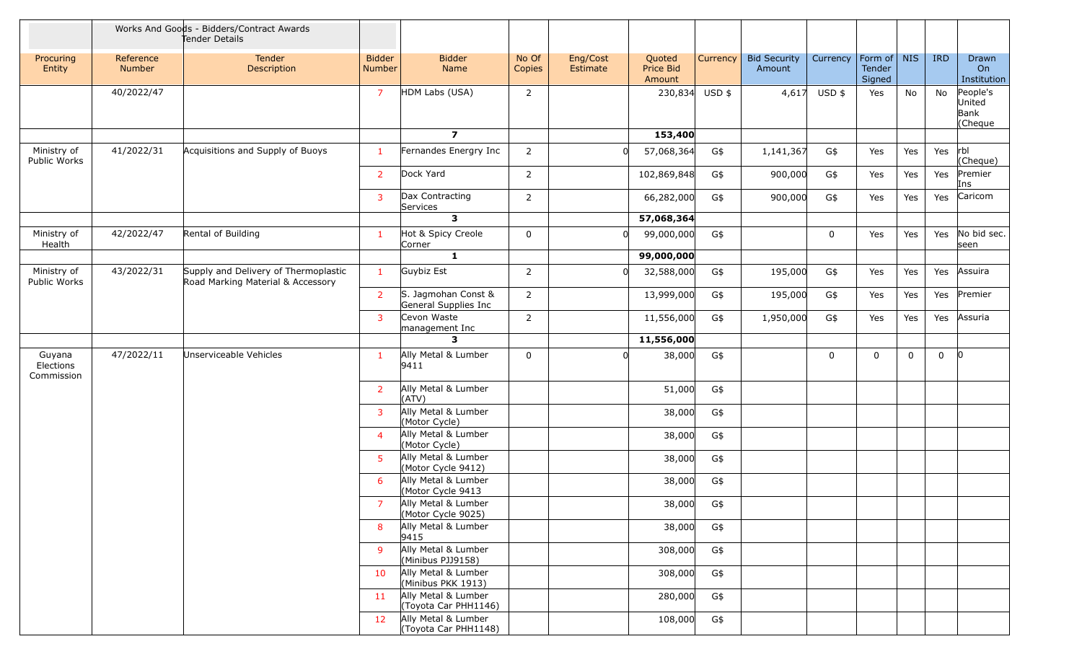|                                   |                            | Works And Goods - Bidders/Contract Awards<br>Tender Details               |                         |                                             |                 |                      |                               |          |                               |             |                                 |             |                |                                       |
|-----------------------------------|----------------------------|---------------------------------------------------------------------------|-------------------------|---------------------------------------------|-----------------|----------------------|-------------------------------|----------|-------------------------------|-------------|---------------------------------|-------------|----------------|---------------------------------------|
| Procuring<br>Entity               | Reference<br><b>Number</b> | Tender<br>Description                                                     | <b>Bidder</b><br>Number | <b>Bidder</b><br>Name                       | No Of<br>Copies | Eng/Cost<br>Estimate | Quoted<br>Price Bid<br>Amount | Currency | <b>Bid Security</b><br>Amount | Currency    | Form of NIS<br>Tender<br>Signed |             | <b>IRD</b>     | Drawn<br>On<br>Institution            |
|                                   | 40/2022/47                 |                                                                           | $\overline{7}$          | HDM Labs (USA)                              | $\overline{2}$  |                      | 230,834                       | $USD$ \$ | 4,617                         | USD \$      | Yes                             | No          | No             | People's<br>United<br>Bank<br>(Cheque |
|                                   |                            |                                                                           |                         | $\overline{z}$                              |                 |                      | 153,400                       |          |                               |             |                                 |             |                |                                       |
| Ministry of<br>Public Works       | 41/2022/31                 | Acquisitions and Supply of Buoys                                          | $\mathbf{1}$            | Fernandes Energry Inc                       | $\overline{2}$  |                      | 57,068,364                    | G\$      | 1,141,367                     | G\$         | Yes                             | Yes         | Yes            | rbl<br>(Cheque)                       |
|                                   |                            |                                                                           | $\overline{2}$          | Dock Yard                                   | $\overline{2}$  |                      | 102,869,848                   | G\$      | 900,000                       | G\$         | Yes                             | Yes         | Yes            | Premier<br>Ins                        |
|                                   |                            |                                                                           | 3                       | Dax Contracting<br>Services                 | $\overline{2}$  |                      | 66,282,000                    | G\$      | 900,000                       | G\$         | Yes                             | Yes         | Yes            | Caricom                               |
|                                   |                            |                                                                           |                         | $\mathbf{3}$                                |                 |                      | 57,068,364                    |          |                               |             |                                 |             |                |                                       |
| Ministry of<br>Health             | 42/2022/47                 | Rental of Building                                                        | 1                       | Hot & Spicy Creole<br>Corner                | $\mathbf 0$     |                      | 99,000,000                    | G\$      |                               | $\mathbf 0$ | Yes                             | Yes         | Yes            | No bid sec.<br>seen                   |
|                                   |                            |                                                                           |                         | $\mathbf{1}$                                |                 |                      | 99,000,000                    |          |                               |             |                                 |             |                |                                       |
| Ministry of<br>Public Works       | 43/2022/31                 | Supply and Delivery of Thermoplastic<br>Road Marking Material & Accessory | $\mathbf{1}$            | Guybiz Est                                  | $\overline{2}$  |                      | 32,588,000                    | G\$      | 195,000                       | G\$         | Yes                             | Yes         | Yes            | Assuira                               |
|                                   |                            |                                                                           | $\overline{2}$          | S. Jagmohan Const &<br>General Supplies Inc | $\overline{2}$  |                      | 13,999,000                    | G\$      | 195,000                       | G\$         | Yes                             | Yes         | Yes            | Premier                               |
|                                   |                            |                                                                           | $\mathbf{3}$            | Cevon Waste<br>management Inc               | $\overline{2}$  |                      | 11,556,000                    | G\$      | 1,950,000                     | G\$         | Yes                             | Yes         | Yes            | Assuria                               |
|                                   |                            |                                                                           |                         | 3                                           |                 |                      | 11,556,000                    |          |                               |             |                                 |             |                |                                       |
| Guyana<br>Elections<br>Commission | 47/2022/11                 | Unserviceable Vehicles                                                    | 1.                      | Ally Metal & Lumber<br>9411                 | $\mathbf 0$     |                      | 38,000                        | G\$      |                               | $\mathbf 0$ | $\mathbf 0$                     | $\mathbf 0$ | $\overline{0}$ | $\overline{0}$                        |
|                                   |                            |                                                                           | $\overline{2}$          | Ally Metal & Lumber<br>(ATV)                |                 |                      | 51,000                        | G\$      |                               |             |                                 |             |                |                                       |
|                                   |                            |                                                                           | 3                       | Ally Metal & Lumber<br>(Motor Cycle)        |                 |                      | 38,000                        | G\$      |                               |             |                                 |             |                |                                       |
|                                   |                            |                                                                           | $\overline{4}$          | Ally Metal & Lumber<br>(Motor Cycle)        |                 |                      | 38,000                        | G\$      |                               |             |                                 |             |                |                                       |
|                                   |                            |                                                                           | 5 <sup>1</sup>          | Ally Metal & Lumber<br>(Motor Cycle 9412)   |                 |                      | 38,000                        | G\$      |                               |             |                                 |             |                |                                       |
|                                   |                            |                                                                           | 6                       | Ally Metal & Lumber<br>(Motor Cycle 9413    |                 |                      | 38,000                        | G\$      |                               |             |                                 |             |                |                                       |
|                                   |                            |                                                                           | 7                       | Ally Metal & Lumber<br>(Motor Cycle 9025)   |                 |                      | 38,000                        | G\$      |                               |             |                                 |             |                |                                       |
|                                   |                            |                                                                           | 8                       | Ally Metal & Lumber<br>9415                 |                 |                      | 38,000                        | G\$      |                               |             |                                 |             |                |                                       |
|                                   |                            |                                                                           | 9                       | Ally Metal & Lumber<br>(Minibus PJJ9158)    |                 |                      | 308,000                       | G\$      |                               |             |                                 |             |                |                                       |
|                                   |                            |                                                                           | 10                      | Ally Metal & Lumber<br>(Minibus PKK 1913)   |                 |                      | 308,000                       | G\$      |                               |             |                                 |             |                |                                       |
|                                   |                            |                                                                           | 11                      | Ally Metal & Lumber<br>(Toyota Car PHH1146) |                 |                      | 280,000                       | G\$      |                               |             |                                 |             |                |                                       |
|                                   |                            |                                                                           | 12                      | Ally Metal & Lumber<br>(Toyota Car PHH1148) |                 |                      | 108,000                       | G\$      |                               |             |                                 |             |                |                                       |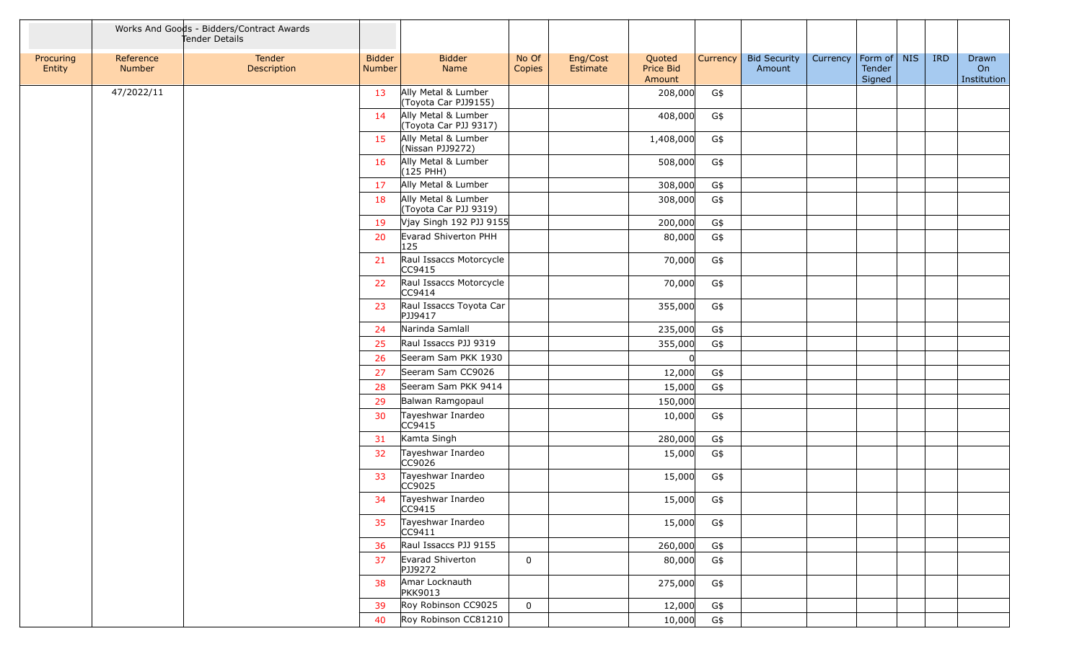|                     |                     | Works And Goods - Bidders/Contract Awards<br>Tender Details |                         |                                              |                 |                      |                               |          |                               |          |                                 |            |                            |
|---------------------|---------------------|-------------------------------------------------------------|-------------------------|----------------------------------------------|-----------------|----------------------|-------------------------------|----------|-------------------------------|----------|---------------------------------|------------|----------------------------|
| Procuring<br>Entity | Reference<br>Number | Tender<br>Description                                       | <b>Bidder</b><br>Number | <b>Bidder</b><br>Name                        | No Of<br>Copies | Eng/Cost<br>Estimate | Quoted<br>Price Bid<br>Amount | Currency | <b>Bid Security</b><br>Amount | Currency | Form of NIS<br>Tender<br>Signed | <b>IRD</b> | Drawn<br>On<br>Institution |
|                     | 47/2022/11          |                                                             | 13                      | Ally Metal & Lumber<br>(Toyota Car PJJ9155)  |                 |                      | 208,000                       | G\$      |                               |          |                                 |            |                            |
|                     |                     |                                                             | 14                      | Ally Metal & Lumber<br>(Toyota Car PJJ 9317) |                 |                      | 408,000                       | G\$      |                               |          |                                 |            |                            |
|                     |                     |                                                             | 15                      | Ally Metal & Lumber<br>(Nissan PJJ9272)      |                 |                      | 1,408,000                     | G\$      |                               |          |                                 |            |                            |
|                     |                     |                                                             | 16                      | Ally Metal & Lumber<br>(125 PHH)             |                 |                      | 508,000                       | G\$      |                               |          |                                 |            |                            |
|                     |                     |                                                             | 17                      | Ally Metal & Lumber                          |                 |                      | 308,000                       | G\$      |                               |          |                                 |            |                            |
|                     |                     |                                                             | 18                      | Ally Metal & Lumber<br>(Toyota Car PJJ 9319) |                 |                      | 308,000                       | G\$      |                               |          |                                 |            |                            |
|                     |                     |                                                             | 19                      | Vjay Singh 192 PJJ 9155                      |                 |                      | 200,000                       | G\$      |                               |          |                                 |            |                            |
|                     |                     |                                                             | 20                      | Evarad Shiverton PHH<br>125                  |                 |                      | 80,000                        | G\$      |                               |          |                                 |            |                            |
|                     |                     |                                                             | 21                      | Raul Issaccs Motorcycle<br>CC9415            |                 |                      | 70,000                        | G\$      |                               |          |                                 |            |                            |
|                     |                     |                                                             | 22                      | Raul Issaccs Motorcycle<br>CC9414            |                 |                      | 70,000                        | G\$      |                               |          |                                 |            |                            |
|                     |                     |                                                             | 23                      | Raul Issaccs Toyota Car<br>PJJ9417           |                 |                      | 355,000                       | G\$      |                               |          |                                 |            |                            |
|                     |                     |                                                             | 24                      | Narinda Samlall                              |                 |                      | 235,000                       | G\$      |                               |          |                                 |            |                            |
|                     |                     |                                                             | 25                      | Raul Issaccs PJJ 9319                        |                 |                      | 355,000                       | G\$      |                               |          |                                 |            |                            |
|                     |                     |                                                             | 26                      | Seeram Sam PKK 1930                          |                 |                      |                               |          |                               |          |                                 |            |                            |
|                     |                     |                                                             | 27                      | Seeram Sam CC9026                            |                 |                      | 12,000                        | G\$      |                               |          |                                 |            |                            |
|                     |                     |                                                             | 28                      | Seeram Sam PKK 9414                          |                 |                      | 15,000                        | G\$      |                               |          |                                 |            |                            |
|                     |                     |                                                             | 29                      | Balwan Ramgopaul                             |                 |                      | 150,000                       |          |                               |          |                                 |            |                            |
|                     |                     |                                                             | 30                      | Tayeshwar Inardeo<br>CC9415                  |                 |                      | 10,000                        | G\$      |                               |          |                                 |            |                            |
|                     |                     |                                                             | 31                      | Kamta Singh                                  |                 |                      | 280,000                       | G\$      |                               |          |                                 |            |                            |
|                     |                     |                                                             | 32                      | Tayeshwar Inardeo<br>CC9026                  |                 |                      | 15,000                        | G\$      |                               |          |                                 |            |                            |
|                     |                     |                                                             | 33                      | Tayeshwar Inardeo<br>CC9025                  |                 |                      | 15,000                        | G\$      |                               |          |                                 |            |                            |
|                     |                     |                                                             |                         | 34 Tayeshwar Inardeo<br>CC9415               |                 |                      | 15,000                        | G\$      |                               |          |                                 |            |                            |
|                     |                     |                                                             | 35                      | Tayeshwar Inardeo<br>CC9411                  |                 |                      | 15,000                        | G\$      |                               |          |                                 |            |                            |
|                     |                     |                                                             | 36                      | Raul Issaccs PJJ 9155                        |                 |                      | 260,000                       | G\$      |                               |          |                                 |            |                            |
|                     |                     |                                                             | 37                      | Evarad Shiverton<br>PJJ9272                  | 0               |                      | 80,000                        | G\$      |                               |          |                                 |            |                            |
|                     |                     |                                                             | 38                      | Amar Locknauth<br>PKK9013                    |                 |                      | 275,000                       | G\$      |                               |          |                                 |            |                            |
|                     |                     |                                                             | 39                      | Roy Robinson CC9025                          | $\mathbf 0$     |                      | 12,000                        | G\$      |                               |          |                                 |            |                            |
|                     |                     |                                                             | 40                      | Roy Robinson CC81210                         |                 |                      | 10,000                        | G\$      |                               |          |                                 |            |                            |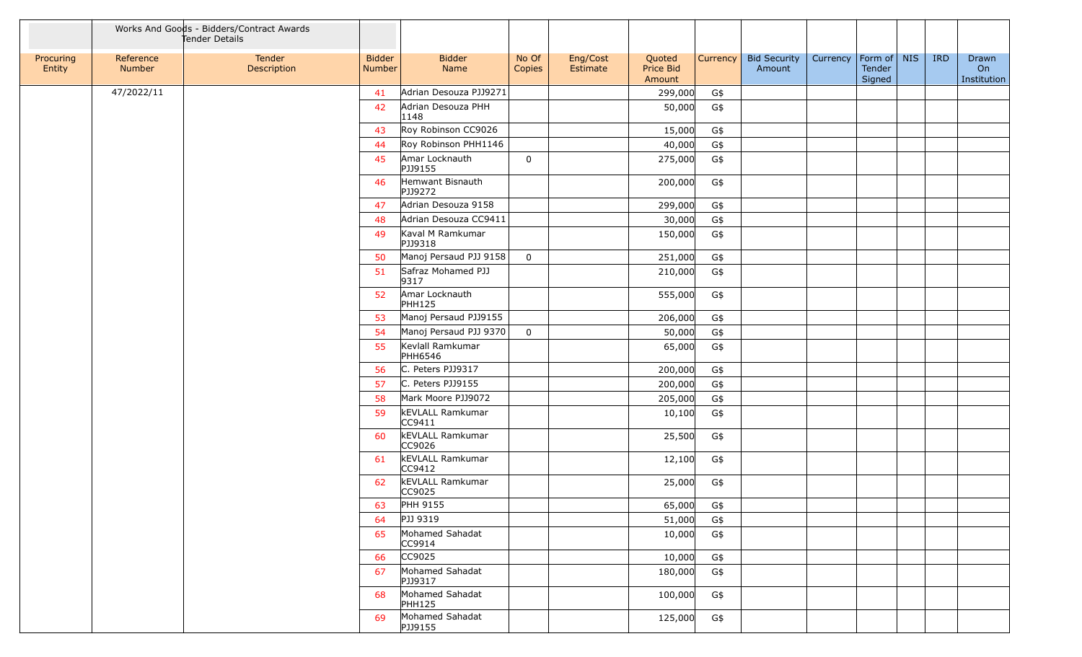|                     |                     | Works And Goods - Bidders/Contract Awards<br>Tender Details |                         |                                  |                 |                      |                               |          |                               |          |                                 |     |                            |
|---------------------|---------------------|-------------------------------------------------------------|-------------------------|----------------------------------|-----------------|----------------------|-------------------------------|----------|-------------------------------|----------|---------------------------------|-----|----------------------------|
| Procuring<br>Entity | Reference<br>Number | Tender<br>Description                                       | <b>Bidder</b><br>Number | <b>Bidder</b><br>Name            | No Of<br>Copies | Eng/Cost<br>Estimate | Quoted<br>Price Bid<br>Amount | Currency | <b>Bid Security</b><br>Amount | Currency | Form of NIS<br>Tender<br>Signed | IRD | Drawn<br>On<br>Institution |
|                     | 47/2022/11          |                                                             | 41                      | Adrian Desouza PJJ9271           |                 |                      | 299,000                       | G\$      |                               |          |                                 |     |                            |
|                     |                     |                                                             | 42                      | Adrian Desouza PHH<br>1148       |                 |                      | 50,000                        | G\$      |                               |          |                                 |     |                            |
|                     |                     |                                                             | 43                      | Roy Robinson CC9026              |                 |                      | 15,000                        | G\$      |                               |          |                                 |     |                            |
|                     |                     |                                                             | 44                      | Roy Robinson PHH1146             |                 |                      | 40,000                        | G\$      |                               |          |                                 |     |                            |
|                     |                     |                                                             | 45                      | Amar Locknauth<br>PJJ9155        | $\mathbf 0$     |                      | 275,000                       | G\$      |                               |          |                                 |     |                            |
|                     |                     |                                                             | 46                      | Hemwant Bisnauth<br>PJJ9272      |                 |                      | 200,000                       | G\$      |                               |          |                                 |     |                            |
|                     |                     |                                                             | 47                      | Adrian Desouza 9158              |                 |                      | 299,000                       | G\$      |                               |          |                                 |     |                            |
|                     |                     |                                                             | 48                      | Adrian Desouza CC9411            |                 |                      | 30,000                        | G\$      |                               |          |                                 |     |                            |
|                     |                     |                                                             | 49                      | Kaval M Ramkumar<br>PJJ9318      |                 |                      | 150,000                       | G\$      |                               |          |                                 |     |                            |
|                     |                     |                                                             | 50                      | Manoj Persaud PJJ 9158           | 0               |                      | 251,000                       | G\$      |                               |          |                                 |     |                            |
|                     |                     |                                                             | 51                      | Safraz Mohamed PJJ<br>9317       |                 |                      | 210,000                       | G\$      |                               |          |                                 |     |                            |
|                     |                     |                                                             | 52                      | Amar Locknauth<br><b>PHH125</b>  |                 |                      | 555,000                       | G\$      |                               |          |                                 |     |                            |
|                     |                     |                                                             | 53                      | Manoj Persaud PJJ9155            |                 |                      | 206,000                       | G\$      |                               |          |                                 |     |                            |
|                     |                     |                                                             | 54                      | Manoj Persaud PJJ 9370           | $\mathbf 0$     |                      | 50,000                        | G\$      |                               |          |                                 |     |                            |
|                     |                     |                                                             | 55                      | Kevlall Ramkumar<br>PHH6546      |                 |                      | 65,000                        | G\$      |                               |          |                                 |     |                            |
|                     |                     |                                                             | 56                      | C. Peters PJJ9317                |                 |                      | 200,000                       | G\$      |                               |          |                                 |     |                            |
|                     |                     |                                                             | 57                      | C. Peters PJJ9155                |                 |                      | 200,000                       | G\$      |                               |          |                                 |     |                            |
|                     |                     |                                                             | 58                      | Mark Moore PJJ9072               |                 |                      | 205,000                       | G\$      |                               |          |                                 |     |                            |
|                     |                     |                                                             | 59                      | kEVLALL Ramkumar<br>CC9411       |                 |                      | 10,100                        | G\$      |                               |          |                                 |     |                            |
|                     |                     |                                                             | 60                      | kEVLALL Ramkumar<br>CC9026       |                 |                      | 25,500                        | G\$      |                               |          |                                 |     |                            |
|                     |                     |                                                             | 61                      | kEVLALL Ramkumar<br>CC9412       |                 |                      | 12,100                        | G\$      |                               |          |                                 |     |                            |
|                     |                     |                                                             | 62                      | kEVLALL Ramkumar<br>CC9025       |                 |                      | 25,000                        | G\$      |                               |          |                                 |     |                            |
|                     |                     |                                                             | 63                      | PHH 9155                         |                 |                      | 65,000                        | G\$      |                               |          |                                 |     |                            |
|                     |                     |                                                             | 64                      | PJJ 9319                         |                 |                      | 51,000                        | G\$      |                               |          |                                 |     |                            |
|                     |                     |                                                             | 65                      | Mohamed Sahadat<br>CC9914        |                 |                      | 10,000                        | G\$      |                               |          |                                 |     |                            |
|                     |                     |                                                             | 66                      | CC9025                           |                 |                      | 10,000                        | G\$      |                               |          |                                 |     |                            |
|                     |                     |                                                             | 67                      | Mohamed Sahadat<br>PJJ9317       |                 |                      | 180,000                       | G\$      |                               |          |                                 |     |                            |
|                     |                     |                                                             | 68                      | Mohamed Sahadat<br><b>PHH125</b> |                 |                      | 100,000                       | G\$      |                               |          |                                 |     |                            |
|                     |                     |                                                             | 69                      | Mohamed Sahadat<br>PJJ9155       |                 |                      | 125,000                       | G\$      |                               |          |                                 |     |                            |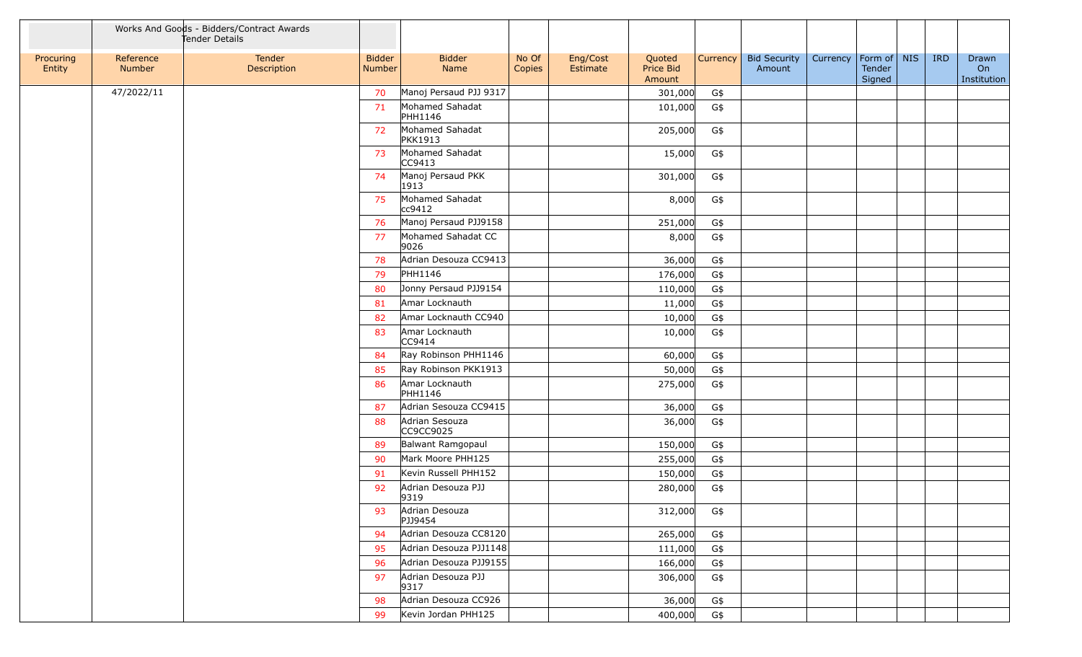|                     |                     | Works And Goods - Bidders/Contract Awards<br>Tender Details |                         |                                   |                 |                      |                               |          |                               |                          |                  |            |                            |
|---------------------|---------------------|-------------------------------------------------------------|-------------------------|-----------------------------------|-----------------|----------------------|-------------------------------|----------|-------------------------------|--------------------------|------------------|------------|----------------------------|
| Procuring<br>Entity | Reference<br>Number | Tender<br>Description                                       | <b>Bidder</b><br>Number | <b>Bidder</b><br>Name             | No Of<br>Copies | Eng/Cost<br>Estimate | Quoted<br>Price Bid<br>Amount | Currency | <b>Bid Security</b><br>Amount | Currency   Form of   NIS | Tender<br>Signed | <b>IRD</b> | Drawn<br>On<br>Institution |
|                     | 47/2022/11          |                                                             | 70                      | Manoj Persaud PJJ 9317            |                 |                      | 301,000                       | G\$      |                               |                          |                  |            |                            |
|                     |                     |                                                             | 71                      | Mohamed Sahadat<br>PHH1146        |                 |                      | 101,000                       | G\$      |                               |                          |                  |            |                            |
|                     |                     |                                                             | 72                      | Mohamed Sahadat<br><b>PKK1913</b> |                 |                      | 205,000                       | G\$      |                               |                          |                  |            |                            |
|                     |                     |                                                             | 73                      | Mohamed Sahadat<br>CC9413         |                 |                      | 15,000                        | G\$      |                               |                          |                  |            |                            |
|                     |                     |                                                             | 74                      | Manoj Persaud PKK<br>1913         |                 |                      | 301,000                       | G\$      |                               |                          |                  |            |                            |
|                     |                     |                                                             | 75                      | Mohamed Sahadat<br>cc9412         |                 |                      | 8,000                         | G\$      |                               |                          |                  |            |                            |
|                     |                     |                                                             | 76                      | Manoj Persaud PJJ9158             |                 |                      | 251,000                       | G\$      |                               |                          |                  |            |                            |
|                     |                     |                                                             | 77                      | Mohamed Sahadat CC<br>9026        |                 |                      | 8,000                         | G\$      |                               |                          |                  |            |                            |
|                     |                     |                                                             | 78                      | Adrian Desouza CC9413             |                 |                      | 36,000                        | G\$      |                               |                          |                  |            |                            |
|                     |                     |                                                             | 79                      | PHH1146                           |                 |                      | 176,000                       | G\$      |                               |                          |                  |            |                            |
|                     |                     |                                                             | 80                      | Jonny Persaud PJJ9154             |                 |                      | 110,000                       | G\$      |                               |                          |                  |            |                            |
|                     |                     |                                                             | 81                      | Amar Locknauth                    |                 |                      | 11,000                        | G\$      |                               |                          |                  |            |                            |
|                     |                     |                                                             | 82                      | Amar Locknauth CC940              |                 |                      | 10,000                        | G\$      |                               |                          |                  |            |                            |
|                     |                     |                                                             | 83                      | Amar Locknauth<br>CC9414          |                 |                      | 10,000                        | G\$      |                               |                          |                  |            |                            |
|                     |                     |                                                             | 84                      | Ray Robinson PHH1146              |                 |                      | 60,000                        | G\$      |                               |                          |                  |            |                            |
|                     |                     |                                                             | 85                      | Ray Robinson PKK1913              |                 |                      | 50,000                        | G\$      |                               |                          |                  |            |                            |
|                     |                     |                                                             | 86                      | Amar Locknauth<br>PHH1146         |                 |                      | 275,000                       | G\$      |                               |                          |                  |            |                            |
|                     |                     |                                                             | 87                      | Adrian Sesouza CC9415             |                 |                      | 36,000                        | G\$      |                               |                          |                  |            |                            |
|                     |                     |                                                             | 88                      | Adrian Sesouza<br>CC9CC9025       |                 |                      | 36,000                        | G\$      |                               |                          |                  |            |                            |
|                     |                     |                                                             | 89                      | Balwant Ramgopaul                 |                 |                      | 150,000                       | G\$      |                               |                          |                  |            |                            |
|                     |                     |                                                             | 90                      | Mark Moore PHH125                 |                 |                      | 255,000                       | G\$      |                               |                          |                  |            |                            |
|                     |                     |                                                             | 91                      | Kevin Russell PHH152              |                 |                      | 150,000                       | G\$      |                               |                          |                  |            |                            |
|                     |                     |                                                             | 92                      | Adrian Desouza PJJ<br>9319        |                 |                      | 280,000                       | G\$      |                               |                          |                  |            |                            |
|                     |                     |                                                             | 93                      | Adrian Desouza<br>PJJ9454         |                 |                      | 312,000                       | G\$      |                               |                          |                  |            |                            |
|                     |                     |                                                             | 94                      | Adrian Desouza CC8120             |                 |                      | 265,000                       | G\$      |                               |                          |                  |            |                            |
|                     |                     |                                                             | 95                      | Adrian Desouza PJJ1148            |                 |                      | 111,000                       | G\$      |                               |                          |                  |            |                            |
|                     |                     |                                                             | 96                      | Adrian Desouza PJJ9155            |                 |                      | 166,000                       | G\$      |                               |                          |                  |            |                            |
|                     |                     |                                                             | 97                      | Adrian Desouza PJJ<br>9317        |                 |                      | 306,000                       | G\$      |                               |                          |                  |            |                            |
|                     |                     |                                                             | 98                      | Adrian Desouza CC926              |                 |                      | 36,000                        | G\$      |                               |                          |                  |            |                            |
|                     |                     |                                                             | 99                      | Kevin Jordan PHH125               |                 |                      | 400,000                       | G\$      |                               |                          |                  |            |                            |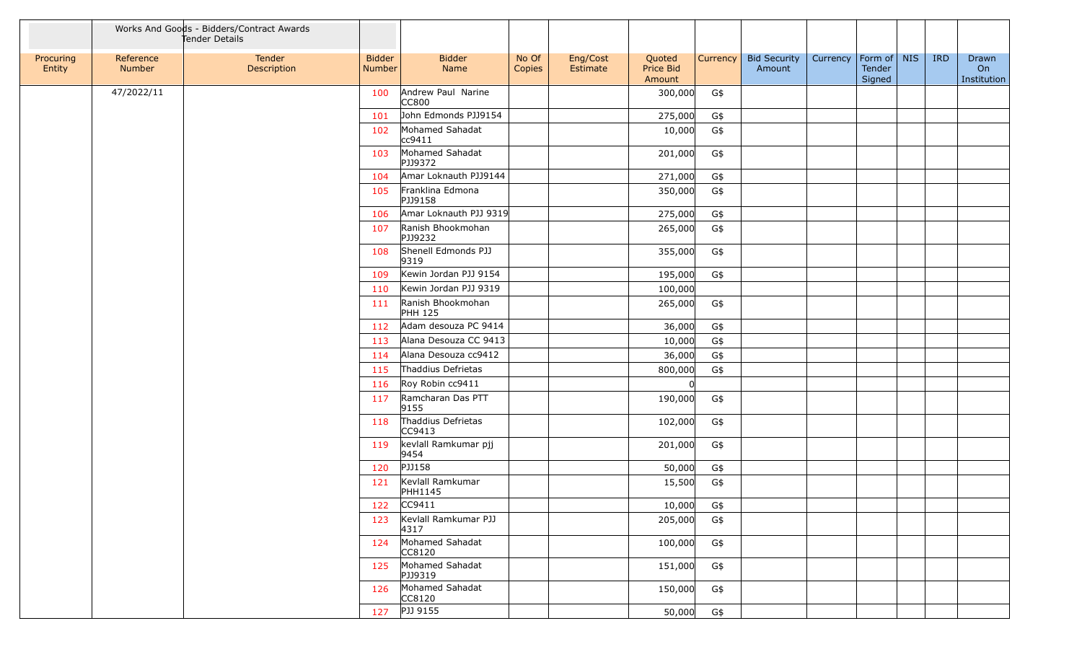|                     |                     | Works And Goods - Bidders/Contract Awards<br>Tender Details |                         |                                    |                 |                      |                               |                 |                               |          |                                 |            |                            |
|---------------------|---------------------|-------------------------------------------------------------|-------------------------|------------------------------------|-----------------|----------------------|-------------------------------|-----------------|-------------------------------|----------|---------------------------------|------------|----------------------------|
| Procuring<br>Entity | Reference<br>Number | Tender<br>Description                                       | <b>Bidder</b><br>Number | <b>Bidder</b><br>Name              | No Of<br>Copies | Eng/Cost<br>Estimate | Quoted<br>Price Bid<br>Amount | <b>Currency</b> | <b>Bid Security</b><br>Amount | Currency | Form of NIS<br>Tender<br>Signed | <b>IRD</b> | Drawn<br>On<br>Institution |
|                     | 47/2022/11          |                                                             | 100                     | Andrew Paul Narine<br><b>CC800</b> |                 |                      | 300,000                       | G\$             |                               |          |                                 |            |                            |
|                     |                     |                                                             | 101                     | John Edmonds PJJ9154               |                 |                      | 275,000                       | G\$             |                               |          |                                 |            |                            |
|                     |                     |                                                             | 102                     | Mohamed Sahadat<br>cc9411          |                 |                      | 10,000                        | G\$             |                               |          |                                 |            |                            |
|                     |                     |                                                             | 103                     | Mohamed Sahadat<br>PJJ9372         |                 |                      | 201,000                       | G\$             |                               |          |                                 |            |                            |
|                     |                     |                                                             | 104                     | Amar Loknauth PJJ9144              |                 |                      | 271,000                       | G\$             |                               |          |                                 |            |                            |
|                     |                     |                                                             | 105                     | Franklina Edmona<br>PJJ9158        |                 |                      | 350,000                       | G\$             |                               |          |                                 |            |                            |
|                     |                     |                                                             | 106                     | Amar Loknauth PJJ 9319             |                 |                      | 275,000                       | G\$             |                               |          |                                 |            |                            |
|                     |                     |                                                             | 107                     | Ranish Bhookmohan<br>PJJ9232       |                 |                      | 265,000                       | G\$             |                               |          |                                 |            |                            |
|                     |                     |                                                             | 108                     | Shenell Edmonds PJJ<br>9319        |                 |                      | 355,000                       | G\$             |                               |          |                                 |            |                            |
|                     |                     |                                                             | 109                     | Kewin Jordan PJJ 9154              |                 |                      | 195,000                       | G\$             |                               |          |                                 |            |                            |
|                     |                     |                                                             | 110                     | Kewin Jordan PJJ 9319              |                 |                      | 100,000                       |                 |                               |          |                                 |            |                            |
|                     |                     |                                                             | 111                     | Ranish Bhookmohan<br>PHH 125       |                 |                      | 265,000                       | G\$             |                               |          |                                 |            |                            |
|                     |                     |                                                             | 112                     | Adam desouza PC 9414               |                 |                      | 36,000                        | G\$             |                               |          |                                 |            |                            |
|                     |                     |                                                             | 113                     | Alana Desouza CC 9413              |                 |                      | 10,000                        | G\$             |                               |          |                                 |            |                            |
|                     |                     |                                                             | 114                     | Alana Desouza cc9412               |                 |                      | 36,000                        | G\$             |                               |          |                                 |            |                            |
|                     |                     |                                                             | 115                     | Thaddius Defrietas                 |                 |                      | 800,000                       | G\$             |                               |          |                                 |            |                            |
|                     |                     |                                                             | 116                     | Roy Robin cc9411                   |                 |                      |                               |                 |                               |          |                                 |            |                            |
|                     |                     |                                                             | 117                     | Ramcharan Das PTT<br>9155          |                 |                      | 190,000                       | G\$             |                               |          |                                 |            |                            |
|                     |                     |                                                             | 118                     | Thaddius Defrietas<br>CC9413       |                 |                      | 102,000                       | G\$             |                               |          |                                 |            |                            |
|                     |                     |                                                             | 119                     | kevlall Ramkumar pjj<br>9454       |                 |                      | 201,000                       | G\$             |                               |          |                                 |            |                            |
|                     |                     |                                                             | 120                     | PJJ158                             |                 |                      | 50,000                        | G\$             |                               |          |                                 |            |                            |
|                     |                     |                                                             | 121                     | Kevlall Ramkumar<br>PHH1145        |                 |                      | 15,500                        | G\$             |                               |          |                                 |            |                            |
|                     |                     |                                                             | 122                     | CC9411                             |                 |                      | 10,000                        | G\$             |                               |          |                                 |            |                            |
|                     |                     |                                                             | 123                     | Kevlall Ramkumar PJJ<br>4317       |                 |                      | 205,000                       | G\$             |                               |          |                                 |            |                            |
|                     |                     |                                                             | 124                     | Mohamed Sahadat<br>CC8120          |                 |                      | 100,000                       | G\$             |                               |          |                                 |            |                            |
|                     |                     |                                                             | 125                     | Mohamed Sahadat<br>PJJ9319         |                 |                      | 151,000                       | G\$             |                               |          |                                 |            |                            |
|                     |                     |                                                             | 126                     | Mohamed Sahadat<br>CC8120          |                 |                      | 150,000                       | G\$             |                               |          |                                 |            |                            |
|                     |                     |                                                             | 127                     | PJJ 9155                           |                 |                      | 50,000                        | G\$             |                               |          |                                 |            |                            |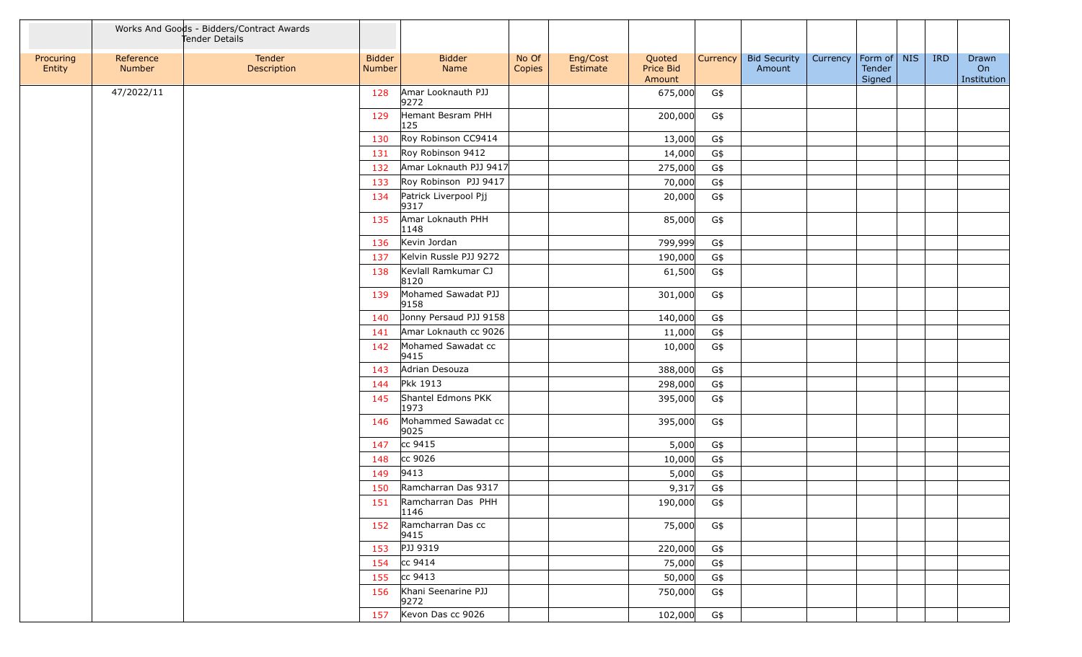|                     |                     | Works And Goods - Bidders/Contract Awards<br>Tender Details |                         |                               |                 |                      |                               |          |                               |          |                                 |            |                            |
|---------------------|---------------------|-------------------------------------------------------------|-------------------------|-------------------------------|-----------------|----------------------|-------------------------------|----------|-------------------------------|----------|---------------------------------|------------|----------------------------|
| Procuring<br>Entity | Reference<br>Number | Tender<br>Description                                       | <b>Bidder</b><br>Number | <b>Bidder</b><br>Name         | No Of<br>Copies | Eng/Cost<br>Estimate | Quoted<br>Price Bid<br>Amount | Currency | <b>Bid Security</b><br>Amount | Currency | Form of NIS<br>Tender<br>Signed | <b>IRD</b> | Drawn<br>On<br>Institution |
|                     | 47/2022/11          |                                                             | 128                     | Amar Looknauth PJJ<br>9272    |                 |                      | 675,000                       | G\$      |                               |          |                                 |            |                            |
|                     |                     |                                                             | 129                     | Hemant Besram PHH<br>125      |                 |                      | 200,000                       | G\$      |                               |          |                                 |            |                            |
|                     |                     |                                                             | 130                     | Roy Robinson CC9414           |                 |                      | 13,000                        | G\$      |                               |          |                                 |            |                            |
|                     |                     |                                                             | 131                     | Roy Robinson 9412             |                 |                      | 14,000                        | G\$      |                               |          |                                 |            |                            |
|                     |                     |                                                             | 132                     | Amar Loknauth PJJ 9417        |                 |                      | 275,000                       | G\$      |                               |          |                                 |            |                            |
|                     |                     |                                                             | 133                     | Roy Robinson PJJ 9417         |                 |                      | 70,000                        | G\$      |                               |          |                                 |            |                            |
|                     |                     |                                                             | 134                     | Patrick Liverpool Pjj<br>9317 |                 |                      | 20,000                        | G\$      |                               |          |                                 |            |                            |
|                     |                     |                                                             | 135                     | Amar Loknauth PHH<br>1148     |                 |                      | 85,000                        | G\$      |                               |          |                                 |            |                            |
|                     |                     |                                                             | 136                     | Kevin Jordan                  |                 |                      | 799,999                       | G\$      |                               |          |                                 |            |                            |
|                     |                     |                                                             | 137                     | Kelvin Russle PJJ 9272        |                 |                      | 190,000                       | G\$      |                               |          |                                 |            |                            |
|                     |                     |                                                             | 138                     | Kevlall Ramkumar CJ<br>8120   |                 |                      | 61,500                        | G\$      |                               |          |                                 |            |                            |
|                     |                     |                                                             | 139                     | Mohamed Sawadat PJJ<br>9158   |                 |                      | 301,000                       | G\$      |                               |          |                                 |            |                            |
|                     |                     |                                                             | 140                     | Jonny Persaud PJJ 9158        |                 |                      | 140,000                       | G\$      |                               |          |                                 |            |                            |
|                     |                     |                                                             | 141                     | Amar Loknauth cc 9026         |                 |                      | 11,000                        | G\$      |                               |          |                                 |            |                            |
|                     |                     |                                                             | 142                     | Mohamed Sawadat cc<br>9415    |                 |                      | 10,000                        | G\$      |                               |          |                                 |            |                            |
|                     |                     |                                                             | 143                     | Adrian Desouza                |                 |                      | 388,000                       | G\$      |                               |          |                                 |            |                            |
|                     |                     |                                                             | 144                     | Pkk 1913                      |                 |                      | 298,000                       | G\$      |                               |          |                                 |            |                            |
|                     |                     |                                                             | 145                     | Shantel Edmons PKK<br>1973    |                 |                      | 395,000                       | G\$      |                               |          |                                 |            |                            |
|                     |                     |                                                             | 146                     | Mohammed Sawadat cc<br>9025   |                 |                      | 395,000                       | G\$      |                               |          |                                 |            |                            |
|                     |                     |                                                             | 147                     | cc 9415                       |                 |                      | 5,000                         | G\$      |                               |          |                                 |            |                            |
|                     |                     |                                                             | 148                     | cc 9026                       |                 |                      | 10,000                        | G\$      |                               |          |                                 |            |                            |
|                     |                     |                                                             | 149                     | 9413                          |                 |                      | 5,000                         | G\$      |                               |          |                                 |            |                            |
|                     |                     |                                                             | 150                     | Ramcharran Das 9317           |                 |                      | 9,317                         | G\$      |                               |          |                                 |            |                            |
|                     |                     |                                                             | 151                     | Ramcharran Das PHH<br>1146    |                 |                      | 190,000                       | G\$      |                               |          |                                 |            |                            |
|                     |                     |                                                             | 152                     | Ramcharran Das cc<br>9415     |                 |                      | 75,000                        | G\$      |                               |          |                                 |            |                            |
|                     |                     |                                                             | 153                     | PJJ 9319                      |                 |                      | 220,000                       | G\$      |                               |          |                                 |            |                            |
|                     |                     |                                                             | 154                     | $cc$ 9414                     |                 |                      | 75,000                        | G\$      |                               |          |                                 |            |                            |
|                     |                     |                                                             | 155                     | $cc$ 9413                     |                 |                      | 50,000                        | G\$      |                               |          |                                 |            |                            |
|                     |                     |                                                             | 156                     | Khani Seenarine PJJ<br>9272   |                 |                      | 750,000                       | G\$      |                               |          |                                 |            |                            |
|                     |                     |                                                             | 157                     | Kevon Das cc 9026             |                 |                      | 102,000                       | G\$      |                               |          |                                 |            |                            |